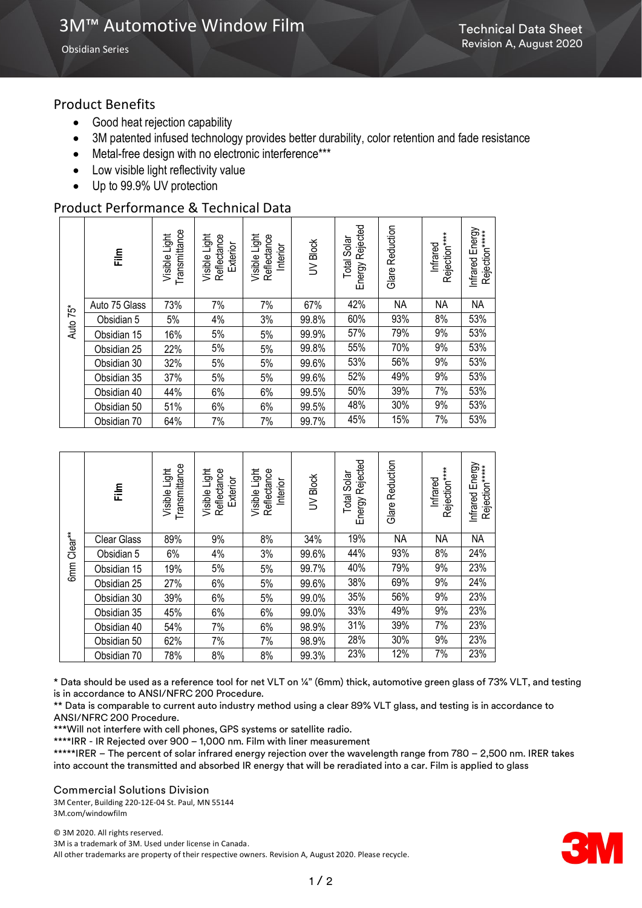Obsidian Series

## Product Benefits

- Good heat rejection capability
- 3M patented infused technology provides better durability, color retention and fade resistance
- Metal-free design with no electronic interference\*\*\*
- Low visible light reflectivity value
- Up to 99.9% UV protection

# Product Performance & Technical Data

| Auto 75* | Film          | Transmittance<br>Visible Light | Light<br>Reflectance<br>Exterior<br>Visible | Visible Light<br>Reflectance<br>Interior | UV Block | Rejected<br>Solar<br>Total<br>Energy | Reduction<br>Glare | Rejection****<br>Infrared | Infrared Energy<br>Rejection*****<br><b>Infrared</b> |
|----------|---------------|--------------------------------|---------------------------------------------|------------------------------------------|----------|--------------------------------------|--------------------|---------------------------|------------------------------------------------------|
|          | Auto 75 Glass | 73%                            | 7%                                          | 7%                                       | 67%      | 42%                                  | ΝA                 | ΝA                        | <b>NA</b>                                            |
|          | Obsidian 5    | 5%                             | 4%                                          | 3%                                       | 99.8%    | 60%                                  | 93%                | 8%                        | 53%                                                  |
|          | Obsidian 15   | 16%                            | 5%                                          | 5%                                       | 99.9%    | 57%                                  | 79%                | 9%                        | 53%                                                  |
|          | Obsidian 25   | 22%                            | 5%                                          | 5%                                       | 99.8%    | 55%                                  | 70%                | 9%                        | 53%                                                  |
|          | Obsidian 30   | 32%                            | 5%                                          | 5%                                       | 99.6%    | 53%                                  | 56%                | 9%                        | 53%                                                  |
|          | Obsidian 35   | 37%                            | 5%                                          | 5%                                       | 99.6%    | 52%                                  | 49%                | 9%                        | 53%                                                  |
|          | Obsidian 40   | 44%                            | 6%                                          | 6%                                       | 99.5%    | 50%                                  | 39%                | 7%                        | 53%                                                  |
|          | Obsidian 50   | 51%                            | 6%                                          | 6%                                       | 99.5%    | 48%                                  | 30%                | 9%                        | 53%                                                  |
|          | Obsidian 70   | 64%                            | 7%                                          | 7%                                       | 99.7%    | 45%                                  | 15%                | 7%                        | 53%                                                  |

| Clear <sup>**</sup><br>6 <sub>mm</sub> | 言                  | Transmittance<br>Light<br>Visible | Visible Light<br>Reflectance<br>Exterior | Visible Light<br>Reflectance<br>Interior | <b>Block</b><br>$\geq$ | Energy Rejected<br>Solar<br>Total | Reduction<br>Glare | Rejection****<br>Infrared | Energy<br>Rejection*****<br>Infrared |
|----------------------------------------|--------------------|-----------------------------------|------------------------------------------|------------------------------------------|------------------------|-----------------------------------|--------------------|---------------------------|--------------------------------------|
|                                        | <b>Clear Glass</b> | 89%                               | 9%                                       | 8%                                       | 34%                    | 19%                               | ΝA                 | <b>NA</b>                 | <b>NA</b>                            |
|                                        | Obsidian 5         | 6%                                | 4%                                       | 3%                                       | 99.6%                  | 44%                               | 93%                | 8%                        | 24%                                  |
|                                        | Obsidian 15        | 19%                               | 5%                                       | 5%                                       | 99.7%                  | 40%                               | 79%                | 9%                        | 23%                                  |
|                                        | Obsidian 25        | 27%                               | 6%                                       | 5%                                       | 99.6%                  | 38%                               | 69%                | 9%                        | 24%                                  |
|                                        | Obsidian 30        | 39%                               | 6%                                       | 5%                                       | 99.0%                  | 35%                               | 56%                | 9%                        | 23%                                  |
|                                        | Obsidian 35        | 45%                               | 6%                                       | 6%                                       | 99.0%                  | 33%                               | 49%                | 9%                        | 23%                                  |
|                                        | Obsidian 40        | 54%                               | 7%                                       | 6%                                       | 98.9%                  | 31%                               | 39%                | 7%                        | 23%                                  |
|                                        | Obsidian 50        | 62%                               | 7%                                       | 7%                                       | 98.9%                  | 28%                               | 30%                | 9%                        | 23%                                  |
|                                        | Obsidian 70        | 78%                               | 8%                                       | 8%                                       | 99.3%                  | 23%                               | 12%                | 7%                        | 23%                                  |

\* Data should be used as a reference tool for net VLT on ¼" (6mm) thick, automotive green glass of 73% VLT, and testing is in accordance to ANSI/NFRC 200 Procedure.

\*\* Data is comparable to current auto industry method using a clear 89% VLT glass, and testing is in accordance to ANSI/NFRC 200 Procedure.

\*\*\*Will not interfere with cell phones, GPS systems or satellite radio.

\*\*\*\*IRR - IR Rejected over 900 – 1,000 nm. Film with liner measurement

\*\*\*\*\*IRER – The percent of solar infrared energy rejection over the wavelength range from 780 – 2,500 nm. IRER takes into account the transmitted and absorbed IR energy that will be reradiated into a car. Film is applied to glass

Commercial Solutions Division

3M Center, Building 220-12E-04 St. Paul, MN 55144 3M.com/windowfilm

© 3M 2020. All rights reserved. 3M is a trademark of 3M. Used under license in Canada. All other trademarks are property of their respective owners. Revision A, August 2020. Please recycle.